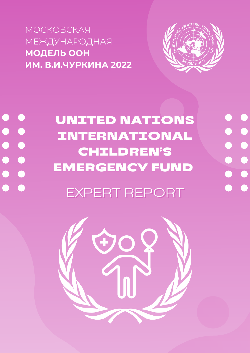МОСКОВСКАЯ МЕЖДУНАРОДНАЯ **МОДЕЛЬ ООН ИМ. В.И.ЧУРКИНА 2022**



UNITED NATIONS INTERNATIONAL CHILDREN'S EMERGENCY FUND EXPERT REPORT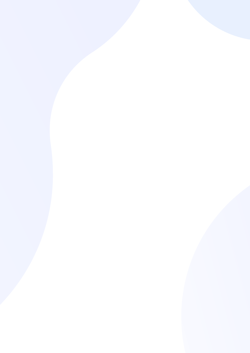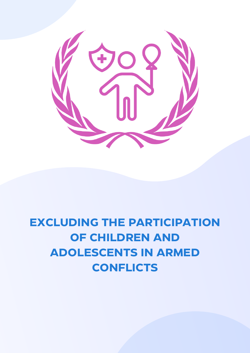

# **EXCLUDING THE PARTICIPATION OF CHILDREN AND ADOLESCENTS IN ARMED CONFLICTS**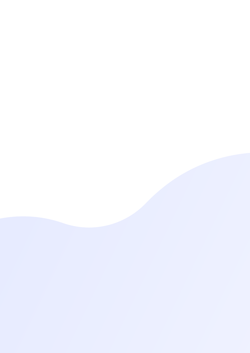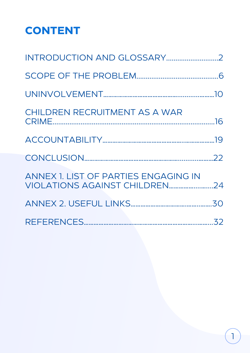# **CONTENT**

| <b>CHILDREN RECRUITMENT AS A WAR</b>                                         |  |
|------------------------------------------------------------------------------|--|
|                                                                              |  |
|                                                                              |  |
| ANNEX 1. LIST OF PARTIES ENGAGING IN<br><b>VIOLATIONS AGAINST CHILDREN24</b> |  |
|                                                                              |  |
|                                                                              |  |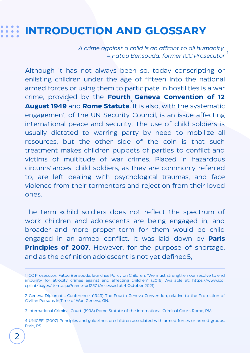### **INTRODUCTION AND GLOSSARY**

*A crime against a child is an affront to all humanity. – Fatou Bensouda, former ICC Prosecutor* 1

Although it has not always been so, today conscripting or enlisting children under the age of fifteen into the national armed forces or using them to participate in hostilities is a war crime, provided by the **Fourth Geneva Convention of 12 August 1949** and **Rome Statute**. It is also, with the systematic engagement of the UN Security Council, is an issue affecting international peace and security. The use of child soldiers is usually dictated to warring party by need to mobilize all resources, but the other side of the coin is that such treatment makes children puppets of parties to conflict and victims of multitude of war crimes. Placed in hazardous circumstances, child soldiers, as they are commonly referred to, are left dealing with psychological traumas, and face violence from their tormentors and rejection from their loved ones.

The term «child soldier» does not reflect the spectrum of work children and adolescents are being engaged in, and broader and more proper term for them would be child engaged in an armed conflict. It was laid down by **Paris Principles of 2007**. However, for the purpose of shortage, and as the definition adolescent is not yet defined5,

<sup>1</sup> ICC Prosecutor, Fatou Bensouda, launches Policy on Children: "We must strengthen our resolve to end impunity for atrocity crimes against and affecting children" (2016) Available at: https://www.icccpi.int/pages/item.aspx?name=pr1257 (Accessed at 4 October 2021)

<sup>2</sup> Geneva Diplomatic Conference. (1949) The Fourth Geneva Convention, relative to the Protection of Civilian Persons in Time of War. Geneva, GN.

<sup>3</sup> International Criminal Court. (1998) Rome Statute of the International Criminal Court. Rome, RM.

<sup>4</sup> UNICEF. (2007) Principles and guidelines on children associated with armed forces or armed groups. Paris, PS.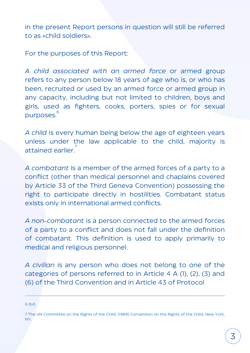in the present Report persons in question will still be referred to as «child soldiers».

For the purposes of this Report:

*A child associated with an armed force* or armed group refers to any person below 18 years of age who is, or who has been, recruited or used by an armed force or armed group in any capacity, including but not limited to children, boys and girls, used as fighters, cooks, porters, spies or for sexual purposes. 6

*A child* is every human being below the age of eighteen years unless under the law applicable to the child, majority is attained earlier.<sup>7</sup>

*A combatant* is a member of the armed forces of a party to a conflict (other than medical personnel and chaplains covered by Article 33 of the Third Geneva Convention) possessing the right to participate directly in hostilities. Combatant status exists only in international armed conflicts.

*A non-combatant* is a person connected to the armed forces of a party to a conflict and does not fall under the definition of combatant. This definition is used to apply primarily to medical and religious personnel.

*A civilian* is any person who does not belong to one of the categories of persons referred to in Article 4 A (1), (2), (3) and (6) of the Third Convention and in Article 43 of Protocol

#### 6 Ibd.

<sup>7</sup> The UN Committee on the Rights of the Child. (1989) Convention on the Rights of the Child. New York, NY.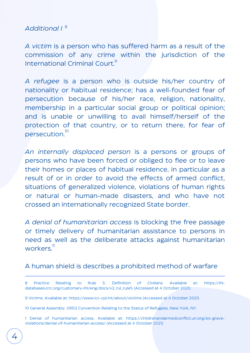#### *Additional I* 8

*A victim* is a person who has suffered harm as a result of the commission of any crime within the jurisdiction of the International Criminal Court. 9

*A refugee* is a person who is outside his/her country of nationality or habitual residence; has a well-founded fear of persecution because of his/her race, religion, nationality, membership in a particular social group or political opinion; and is unable or unwilling to avail himself/herself of the protection of that country, or to return there, for fear of persecution. 10

*An internally displaced person* is a persons or groups of persons who have been forced or obliged to flee or to leave their homes or places of habitual residence, in particular as a result of or in order to avoid the effects of armed conflict, situations of generalized violence, violations of human rights or natural or human-made disasters, and who have not crossed an internationally recognized State border.

*A denial of humanitarian access* is blocking the free passage or timely delivery of humanitarian assistance to persons in need as well as the deliberate attacks against humanitarian workers.<sup>11</sup>

A human shield is describes a prohibited method of warfare

- 8 Practice Relating to Rule 5. Definition of Civilians. Available at: https://ihldatabases.icrc.org/customary-ihl/eng/docs/v2\_rul\_rule5 (Accessed at 4 October 2021)
- 9 Victims. Available at: https://www.icc-cpi.int/about/victims (Accessed at 4 October 2021)
- 10 General Assembly. (1951) Convention Relating to the Status of Refugees. New York, NY.
- 1 Denial of humanitarian access. Available at: https://childrenandarmedconflict.un.org/six-graveviolations/denial-of-humanitarian-access/ (Accessed at 4 October 2021)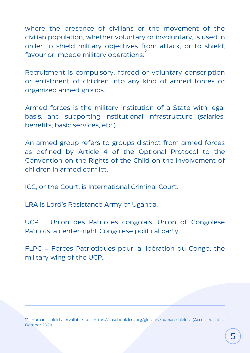where the presence of civilians or the movement of the civilian population, whether voluntary or involuntary, is used in order to shield military objectives from attack, or to shield, favour or impede military operations.<sup>12</sup>

Recruitment is compulsory, forced or voluntary conscription or enlistment of children into any kind of armed forces or organized armed groups.

Armed forces is the military institution of a State with legal basis, and supporting institutional infrastructure (salaries, benefits, basic services, etc,).

An armed group refers to groups distinct from armed forces as defined by Article 4 of the Optional Protocol to the Convention on the Rights of the Child on the involvement of children in armed conflict.

ICC, or the Court, is International Criminal Court.

LRA is Lord's Resistance Army of Uganda.

UCP – Union des Patriotes congolais, Union of Congolese Patriots, a center-right Congolese political party.

FLPC – Forces Patriotiques pour la libération du Congo, the military wing of the UCP.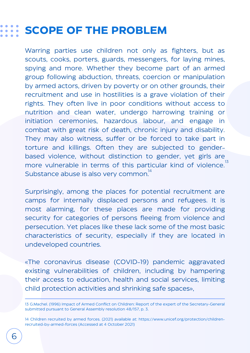## **SCOPE OF THE PROBLEM**

Warring parties use children not only as fighters, but as scouts, cooks, porters, guards, messengers, for laying mines, spying and more. Whether they become part of an armed group following abduction, threats, coercion or manipulation by armed actors, driven by poverty or on other grounds, their recruitment and use in hostilities is a grave violation of their rights. They often live in poor conditions without access to nutrition and clean water, undergo harrowing training or initiation ceremonies, hazardous labour, and engage in combat with great risk of death, chronic injury and disability. They may also witness, suffer or be forced to take part in torture and killings. Often they are subjected to genderbased violence, without distinction to gender, yet girls are more vulnerable in terms of this particular kind of violence.<sup>13</sup> Substance abuse is also very common.<sup>14</sup>

Surprisingly, among the places for potential recruitment are camps for internally displaced persons and refugees. It is most alarming, for these places are made for providing security for categories of persons fleeing from violence and persecution. Yet places like these lack some of the most basic characteristics of security, especially if they are located in undeveloped countries.

«The coronavirus disease (COVID-19) pandemic aggravated existing vulnerabilities of children, including by hampering their access to education, health and social services, limiting child protection activities and shrinking safe spaces»,

<sup>13</sup> G.Machel. (1996) Impact of Armed Conflict on Children: Report of the expert of the Secretary-General submitted pursuant to General Assembly resolution 48/157, p. 3.

<sup>14</sup> Children recruited by armed forces. (2021) available at: https://www.unicef.org/protection/childrenrecruited-by-armed-forces (Accessed at 4 October 2021)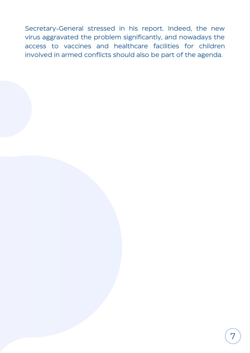Secretary-General stressed in his report. Indeed, the new virus aggravated the problem significantly, and nowadays the access to vaccines and healthcare facilities for children involved in armed conflicts should also be part of the agenda.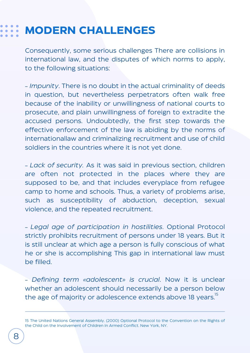### **MODERN CHALLENGES**

Consequently, some serious challenges There are collisions in international law, and the disputes of which norms to apply, to the following situations:

- *Impunity*. There is no doubt in the actual criminality of deeds in question, but nevertheless perpetrators often walk free because of the inability or unwillingness of national courts to prosecute, and plain unwillingness of foreign to extradite the accused persons. Undoubtedly, the first step towards the effective enforcement of the law is abiding by the norms of internationallaw and criminalizing recruitment and use of child soldiers in the countries where it is not yet done.

- *Lack of security.* As it was said in previous section, children are often not protected in the places where they are supposed to be, and that includes everyplace from refugee camp to home and schools. Thus, a variety of problems arise, such as susceptibility of abduction, deception, sexual violence, and the repeated recruitment.

- *Legal age of participation in hostilities*. Optional Protocol strictly prohibits recruitment of persons under 18 years. But it is still unclear at which age a person is fully conscious of what he or she is accomplishing This gap in international law must be filled.

- *Defining term «adolescent» is crucial*. Now it is unclear whether an adolescent should necessarily be a person below the age of majority or adolescence extends above 18 years.<sup>15</sup>

15 The United Nations General Assembly. (2000) Optional Protocol to the Convention on the Rights of the Child on the Involvement of Children In Armed Conflict. New York, NY.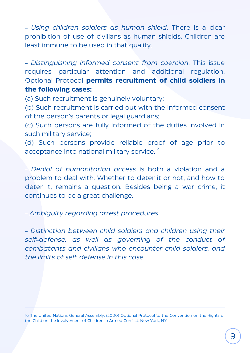- *Using children soldiers as human shield*. There is a clear prohibition of use of civilians as human shields. Children are least immune to be used in that quality.

- *Distinguishing informed consent from coercion*. This issue requires particular attention and additional regulation. Optional Protocol **permits recruitment of child soldiers in the following cases:**

(a) Such recruitment is genuinely voluntary;

(b) Such recruitment is carried out with the informed consent of the person's parents or legal guardians;

(c) Such persons are fully informed of the duties involved in such military service;

(d) Such persons provide reliable proof of age prior to acceptance into national military service.<sup>16</sup>

- *Denial of humanitarian access* is both a violation and a problem to deal with. Whether to deter it or not, and how to deter it, remains a question. Besides being a war crime, it continues to be a great challenge.

- *Ambiguity regarding arrest procedures.*

- *Distinction between child soldiers and children using their self-defense, as well as governing of the conduct of combatants and civilians who encounter child soldiers, and the limits of self-defense in this case.*

16 The United Nations General Assembly. (2000) Optional Protocol to the Convention on the Rights of the Child on the Involvement of Children In Armed Conflict. New York, NY.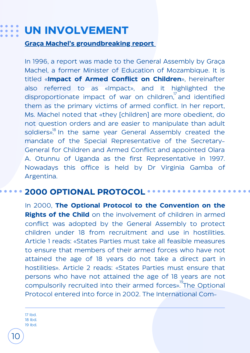### **UN INVOLVEMENT**

#### **Graça Machel's groundbreaking report**

In 1996, a report was made to the General Assembly by Graça Machel, a former Minister of Education of Mozambique. It is titled «**Impact of Armed Conflict on Children**», hereinafter also referred to as «Impact», and it highlighted the disproportionate impact of war on children, and identified them as the primary victims of armed conflict. In her report, Ms. Machel noted that «they [children] are more obedient, do not question orders and are easier to manipulate than adult soldiers».<sup>18</sup> In the same year General Assembly created the mandate of the Special Representative of the Secretary-General for Children and Armed Conflict and appointed Olara A. Otunnu of Uganda as the first Representative in 1997. Nowadays this office is held by Dr Virginia Gamba of Argentina.

### **2000 OPTIONAL PROTOCOL**

In 2000, **The Optional Protocol to the Convention on the Rights of the Child** on the involvement of children in armed conflict was adopted by the General Assembly to protect children under 18 from recruitment and use in hostilities. Article 1 reads: «States Parties must take all feasible measures to ensure that members of their armed forces who have not attained the age of 18 years do not take a direct part in hostilities». Article 2 reads: «States Parties must ensure that persons who have not attained the age of 18 years are not compulsorily recruited into their armed forces». The Optional Protocol entered into force in 2002. The International Сom-

17 Ibd. 18 Ibd. 19 Ibd.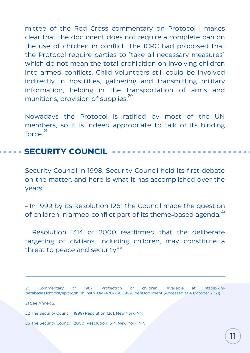mittee of the Red Cross commentary on Protocol I makes clear that the document does not require a complete ban on the use of children in conflict. The ICRC had proposed that the Protocol require parties to "take all necessary measures" which do not mean the total prohibition on involving children into armed conflicts. Child volunteers still could be involved indirectly in hostilities, gathering and transmitting military information, helping in the transportation of arms and munitions, provision of supplies. 20

Nowadays the Protocol is ratified by most of the UN members, so it is indeed appropriate to talk of its binding force. 21

### **SECURITY COUNCIL**

Security Council In 1998, Security Council held its first debate on the matter, and here is what it has accomplished over the years:

- In 1999 by its Resolution 1261 the Council made the question of children in armed conflict part of its theme-based agenda.<sup>22</sup>

- Resolution 1314 of 2000 reaffirmed that the deliberate targeting of civilians, including children, may constitute a threat to peace and security. $2^3$ 

20 Commentary of 1987. Protection of children. Available at: https://ihldatabases.icrc.org/applic/ihl/ihl.nsf/COM/470-750099?OpenDocument (Accessed at 4 October 2021)

21 See Annex 2.

22 The Security Council. (1999) Resolution 1261. New York, NY.

23 The Security Council. (2000) Resolution 1314. New York, NY.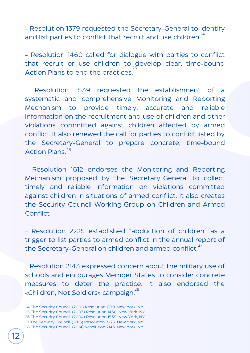- Resolution 1379 requested the Secretary-General to identify and list parties to conflict that recruit and use children. $^{24}$ 

- Resolution 1460 called for dialogue with parties to conflict that recruit or use children to develop clear, time-bound Action Plans to end the practices.

- Resolution 1539 requested the establishment of a systematic and comprehensive Monitoring and Reporting Mechanism to provide timely, accurate and reliable information on the recruitment and use of children and other violations committed against children affected by armed conflict. It also renewed the call for parties to conflict listed by the Secretary-General to prepare concrete, time-bound Action Plans. 26

- Resolution 1612 endorses the Monitoring and Reporting Mechanism proposed by the Secretary-General to collect timely and reliable information on violations committed against children in situations of armed conflict. It also creates the Security Council Working Group on Children and Armed **Conflict** 

- Resolution 2225 established "abduction of children" as a trigger to list parties to armed conflict in the annual report of the Secretary-General on children and armed conflict.<sup>27</sup>

- Resolution 2143 expressed concern about the military use of schools and encourages Member States to consider concrete measures to deter the practice. It also endorsed the «Children, Not Soldiers» campaign.  $^{28}$ 

<sup>24</sup> The Security Council. (2001) Resolution 1379. New York, NY. 25 The Security Council. (2003) Resolution 1460. New York, NY. 26 The Security Council. (2004) Resolution 1539. New York, NY. 27 The Security Council. (2015) Resolution 2225. New York, NY. 28 The Security Council. (2014) Resolution 2143. New York, NY.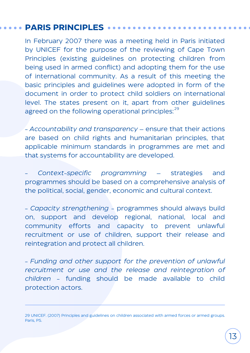### **PARIS PRINCIPLES**

In February 2007 there was a meeting held in Paris initiated by UNICEF for the purpose of the reviewing of Cape Town Principles (existing guidelines on protecting children from being used in armed conflict) and adopting them for the use of international community. As a result of this meeting the basic principles and guidelines were adopted in form of the document in order to protect child soldiers on international level. The states present on it, apart from other guidelines agreed on the following operational principles:<sup>29</sup>

- *Accountability and transparency* – ensure that their actions are based on child rights and humanitarian principles, that applicable minimum standards in programmes are met and that systems for accountability are developed.

- *Context-specific programming* – strategies and programmes should be based on a comprehensive analysis of the political, social, gender, economic and cultural context.

- *Capacity strengthening* - programmes should always build on, support and develop regional, national, local and community efforts and capacity to prevent unlawful recruitment or use of children, support their release and reintegration and protect all children.

- *Funding and other support for the prevention of unlawful recruitment or use and the release and reintegration of children* - funding should be made available to child protection actors.

<sup>29</sup> UNICEF. (2007) Principles and guidelines on children associated with armed forces or armed groups. Paris, PS.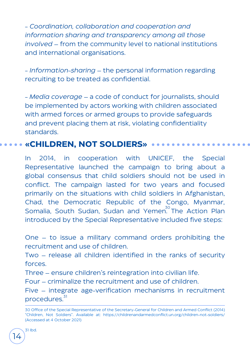- *Coordination, collaboration and cooperation and information sharing and transparency among all those involved* – from the community level to national institutions and international organisations.

- *Information-sharing* – the personal information regarding recruiting to be treated as confidential.

- *Media coverage* – a code of conduct for journalists, should be implemented by actors working with children associated with armed forces or armed groups to provide safeguards and prevent placing them at risk, violating confidentiality standards.

### **«CHILDREN, NOT SOLDIERS»**

In 2014, in cooperation with UNICEF, the Special Representative launched the campaign to bring about a global consensus that child soldiers should not be used in conflict. The campaign lasted for two years and focused primarily on the situations with child soldiers in Afghanistan, Chad, the Democratic Republic of the Congo, Myanmar, Somalia, South Sudan, Sudan and Yemen. The Action Plan introduced by the Special Representative included five steps:

One – to issue a military command orders prohibiting the recruitment and use of children.

Two – release all children identified in the ranks of security forces.

Three – ensure children's reintegration into civilian life.

Four – criminalize the recruitment and use of children.

Five – integrate age-verification mechanisms in recruitment procedures.<sup>31</sup>

<sup>30</sup> Office of the Special Representative of the Secretary-General for Children and Armed Conflict (2014) "Children, Not Soldiers". Available at: https://childrenandarmedconflict.un.org/children-not-soldiers/ (Accessed at 4 October 2021)

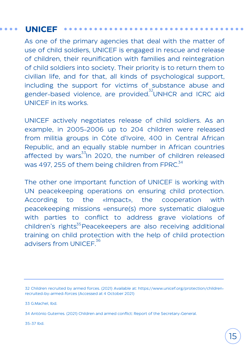#### **UNICEF**

As one of the primary agencies that deal with the matter of use of child soldiers, UNICEF is engaged in rescue and release of children, their reunification with families and reintegration of child soldiers into society. Their priority is to return them to civilian life, and for that, all kinds of psychological support, including the support for victims of substance abuse and gender-based violence, are provided. UNHCR and ICRC aid UNICEF in its works.

UNICEF actively negotiates release of child soldiers. As an example, in 2005-2006 up to 204 children were released from militia groups in Côte d'Ivoire, 400 in Central African Republic, and an equally stable number in African countries affected by wars.<sup>33</sup> in 2020, the number of children released was 497, 255 of them being children from FPRC. $^{34}$ 

The other one important function of UNICEF is working with UN peacekeeping operations on ensuring child protection. According to the «Impact», the cooperation with peacekeeping missions «ensure(s) more systematic dialogue with parties to conflict to address grave violations of children's rights<sup>35</sup> Peacekeepers are also receiving additional training on child protection with the help of child protection advisers from UNICEF.<sup>36</sup>

33 G.Machel, Ibd.

34 António Guterres. (2021) Children and armed conflict: Report of the Secretary-General.

35-37 Ibd.

<sup>32</sup> Children recruited by armed forces. (2021) Available at: https://www.unicef.org/protection/childrenrecruited-by-armed-forces (Accessed at 4 October 2021)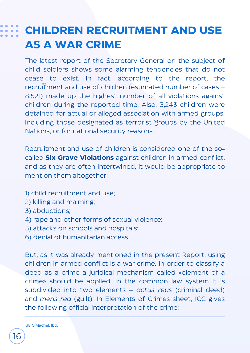# **CHILDREN RECRUITMENT AND USE AS A WAR CRIME**

The latest report of the Secretary General on the subject of child soldiers shows some alarming tendencies that do not cease to exist. In fact, according to the report, the recruit ment and use of children (estimated number of cases -8,521) made up the highest number of all violations against children during the reported time. Also, 3,243 children were detained for actual or alleged association with armed groups, including those designated as terrorist groups by the United Nations, or for national security reasons.

Recruitment and use of children is considered one of the socalled **Six Grave Violations** against children in armed conflict, and as they are often intertwined, it would be appropriate to mention them altogether:

- 1) child recruitment and use;
- 2) killing and maiming;
- 3) abductions;
- 4) rape and other forms of sexual violence;
- 5) attacks on schools and hospitals;
- 6) denial of humanitarian access.

But, as it was already mentioned in the present Report, using children in armed conflict is a war crime. In order to classify a deed as a crime a juridical mechanism called «element of a crime» should be applied. In the common law system it is subdivided into two elements – *actus reus* (criminal deed) and *mens rea* (guilt). In Elements of Crimes sheet, ICC gives the following official interpretation of the crime:

38 G.Machel, Ibd.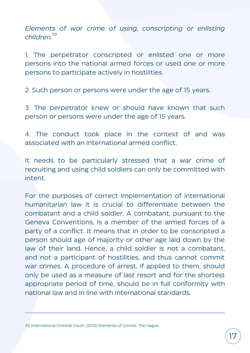*Elements of war crime of using, conscripting or enlisting children.* 39

1. The perpetrator conscripted or enlisted one or more persons into the national armed forces or used one or more persons to participate actively in hostilities.

2. Such person or persons were under the age of 15 years.

3. The perpetrator knew or should have known that such person or persons were under the age of 15 years.

4. The conduct took place in the context of and was associated with an international armed conflict.

It needs to be particularly stressed that a war crime of recruiting and using child soldiers can only be committed with intent.

For the purposes of correct implementation of international humanitarian law it is crucial to differentiate between the combatant and a child soldier. A combatant, pursuant to the Geneva Conventions, is a member of the armed forces of a party of a conflict. It means that in order to be conscripted a person should age of majority or other age laid down by the law of their land. Hence, a child soldier is not a combatant, and not a participant of hostilities, and thus cannot commit war crimes. A procedure of arrest, if applied to them, should only be used as a measure of last resort and for the shortest appropriate period of time, should be in full conformity with national law and in line with international standards.

39 International Criminal Court. (2013) Elements of Crimes. The Hague.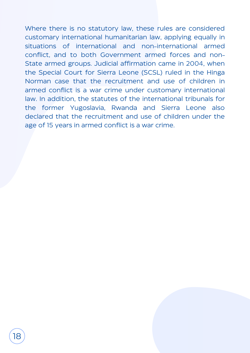Where there is no statutory law, these rules are considered customary international humanitarian law, applying equally in situations of international and non-international armed conflict, and to both Government armed forces and non-State armed groups. Judicial affirmation came in 2004, when the Special Court for Sierra Leone (SCSL) ruled in the Hinga Norman case that the recruitment and use of children in armed conflict is a war crime under customary international law. In addition, the statutes of the international tribunals for the former Yugoslavia, Rwanda and Sierra Leone also declared that the recruitment and use of children under the age of 15 years in armed conflict is a war crime.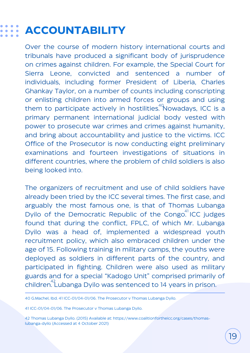# **ACCOUNTABILITY**

Over the course of modern history international courts and tribunals have produced a significant body of jurisprudence on crimes against children. For example, the Special Court for Sierra Leone, convicted and sentenced a number of individuals, including former President of Liberia, Charles Ghankay Taylor, on a number of counts including conscripting or enlisting children into armed forces or groups and using them to participate actively in hostilities. Nowadays, ICC is a primary permanent international judicial body vested with power to prosecute war crimes and crimes against humanity, and bring about accountability and justice to the victims. ICC Office of the Prosecutor is now conducting eight preliminary examinations and fourteen investigations of situations in different countries, where the problem of child soldiers is also being looked into.

The organizers of recruitment and use of child soldiers have already been tried by the ICC several times. The first case, and arguably the most famous one, is that of Thomas Lubanga Dyilo of the Democratic Republic of the Congo.<sup>41</sup> ICC judges found that during the conflict, FPLC, of which Mr. Lubanga Dyilo was a head of, implemented a widespread youth recruitment policy, which also embraced children under the age of 15. Following training in military camps, the youths were deployed as soldiers in different parts of the country, and participated in fighting. Children were also used as military guards and for a special "Kadogo Unit" comprised primarily of children.<sup>42</sup> Lubanga Dyilo was sentenced to 14 years in prison.

40 G.Machel, Ibd. 41 ICC-01/04-01/06. The Prosecutor v Thomas Lubanga Dyilo.

41 ICC-01/04-01/06. The Prosecutor v Thomas Lubanga Dyilo.

42 Thomas Lubanga Dyilo. (2015) Available at: https://www.coalitionfortheicc.org/cases/thomaslubanga-dyilo (Accessed at 4 October 2021)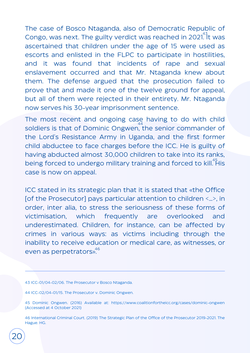The case of Bosco Ntaganda, also of Democratic Republic of Congo, was next. The guilty verdict was reached in 2021. It was ascertained that children under the age of 15 were used as escorts and enlisted in the FLPC to participate in hostilities, and it was found that incidents of rape and sexual enslavement occurred and that Mr. Ntaganda knew about them. The defense argued that the prosecution failed to prove that and made it one of the twelve ground for appeal, but all of them were rejected in their entirety. Mr. Ntaganda now serves his 30-year imprisonment sentence.

The most recent and ongoing case having to do with child soldiers is that of Dominic Ongwen, the senior commander of the Lord's Resistance Army in Uganda, and the first former child abductee to face charges before the ICC. He is guilty of having abducted almost 30,000 children to take into its ranks, being forced to undergo military training and forced to kill. <sup>45</sup> His case is now on appeal.

ICC stated in its strategic plan that it is stated that «the Office [of the Prosecutor] pays particular attention to children <…>, in order, inter alia, to stress the seriousness of these forms of victimisation, which frequently are overlooked and underestimated. Children, for instance, can be affected by crimes in various ways: as victims including through the inability to receive education or medical care, as witnesses, or even as perpetrators».<sup>46</sup>

43 ICC-01/04-02/06. The Prosecutor v Bosco Ntaganda.

44 ICC-02/04-01/15. The Prosecutor v. Dominic Ongwen.

45 Dominic Ongwen. (2016) Available at: https://www.coalitionfortheicc.org/cases/dominic-ongwen (Accessed at 4 October 2021)

46 International Criminal Court. (2019) The Strategic Plan of the Office of the Prosecutor 2019-2021. The Hague. HG.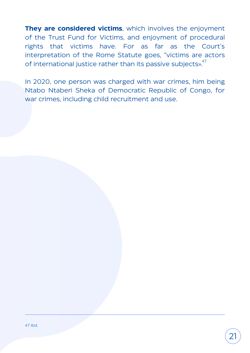**They are considered victims**, which involves the enjoyment of the Trust Fund for Victims, and enjoyment of procedural rights that victims have. For as far as the Court's interpretation of the Rome Statute goes, "victims are actors of international justice rather than its passive subjects».<sup>47</sup>

In 2020, one person was charged with war crimes, him being Ntabo Ntaberi Sheka of Democratic Republic of Congo, for war crimes, including child recruitment and use.

21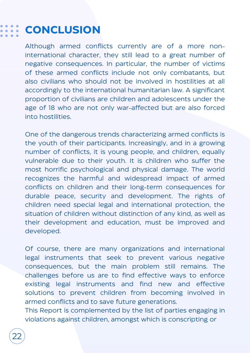# **CONCLUSION**

Although armed conflicts currently are of a more noninternational character, they still lead to a great number of negative consequences. In particular, the number of victims of these armed conflicts include not only combatants, but also civilians who should not be involved in hostilities at all accordingly to the international humanitarian law. A significant proportion of civilians are children and adolescents under the age of 18 who are not only war-affected but are also forced into hostilities.

One of the dangerous trends characterizing armed conflicts is the youth of their participants. Increasingly, and in a growing number of conflicts, it is young people, and children, equally vulnerable due to their youth. It is children who suffer the most horrific psychological and physical damage. The world recognizes the harmful and widespread impact of armed conflicts on children and their long-term consequences for durable peace, security and development. The rights of children need special legal and international protection, the situation of children without distinction of any kind, as well as their development and education, must be improved and developed.

Of course, there are many organizations and international legal instruments that seek to prevent various negative consequences, but the main problem still remains. The challenges before us are to find effective ways to enforce existing legal instruments and find new and effective solutions to prevent children from becoming involved in armed conflicts and to save future generations.

This Report is complemented by the list of parties engaging in violations against children, amongst which is conscripting or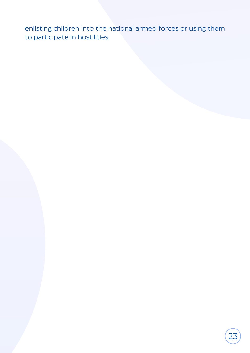enlisting children into the national armed forces or using them to participate in hostilities.

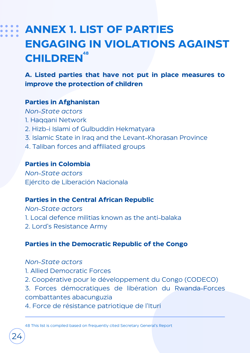# **ANNEX 1. LIST OF PARTIES ENGAGING IN VIOLATIONS AGAINST CHILDREN 48**

**A. Listed parties that have not put in place measures to improve the protection of children**

#### **Parties in Afghanistan**

*Non-State actors* 1. Haqqani Network 2. Hizb-i Islami of Gulbuddin Hekmatyara 3. Islamic State in Iraq and the Levant-Khorasan Province 4. Taliban forces and affiliated groups

#### **Parties in Colombia**

*Non-State actors* Ejército de Liberación Nacionala

### **Parties in the Central African Republic**

*Non-State actors* 1. Local defence militias known as the anti-balaka 2. Lord's Resistance Army

### **Parties in the Democratic Republic of the Congo**

#### *Non-State actors*

- 1. Allied Democratic Forces
- 2. Coopérative pour le développement du Congo (CODECO)

3. Forces démocratiques de libération du Rwanda-Forces combattantes abacunguzia

4. Force de résistance patriotique de l'Ituri

48 This list is compiled based on frequently cited Secretary General's Report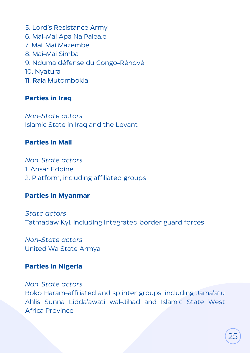5. Lord's Resistance Army 6. Mai-Mai Apa Na Palea,e 7. Mai-Mai Mazembe 8. Mai-Mai Simba 9. Nduma défense du Congo-Rénové 10. Nyatura 11. Raia Mutombokia

### **Parties in Iraq**

*Non-State actors* Islamic State in Iraq and the Levant

#### **Parties in Mali**

*Non-State actors* 1. Ansar Eddine 2. Platform, including affiliated groups

#### **Parties in Myanmar**

*State actors* Tatmadaw Kyi, including integrated border guard forces

*Non-State actors* United Wa State Armya

#### **Parties in Nigeria**

#### *Non-State actors*

Boko Haram-affiliated and splinter groups, including Jama'atu Ahlis Sunna Lidda'awati wal-Jihad and Islamic State West Africa Province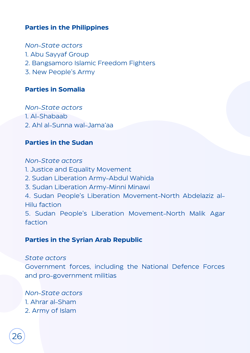### **Parties in the Philippines**

*Non-State actors*

- 1. Abu Sayyaf Group
- 2. Bangsamoro Islamic Freedom Fighters
- 3. New People's Army

#### **Parties in Somalia**

*Non-State actors* 1. Al-Shabaab 2. Ahl al-Sunna wal-Jama'aa

#### **Parties in the Sudan**

*Non-State actors* 1. Justice and Equality Movement 2. Sudan Liberation Army-Abdul Wahida 3. Sudan Liberation Army-Minni Minawi 4. Sudan People's Liberation Movement-North Abdelaziz al-Hilu faction 5. Sudan People's Liberation Movement-North Malik Agar faction

#### **Parties in the Syrian Arab Republic**

*State actors* Government forces, including the National Defence Forces and pro-government militias

*Non-State actors* 1. Ahrar al-Sham 2. Army of Islam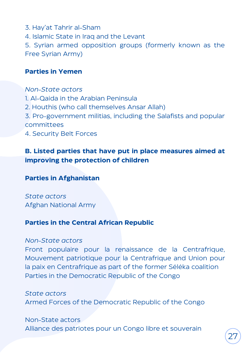3. Hay'at Tahrir al-Sham 4. Islamic State in Iraq and the Levant 5. Syrian armed opposition groups (formerly known as the Free Syrian Army)

#### **Parties in Yemen**

*Non-State actors* 1. Al-Qaida in the Arabian Peninsula 2. Houthis (who call themselves Ansar Allah) 3. Pro-government militias, including the Salafists and popular committees 4. Security Belt Forces

### **B. Listed parties that have put in place measures aimed at improving the protection of children**

#### **Parties in Afghanistan**

*State actors* Afghan National Army

#### **Parties in the Central African Republic**

#### *Non-State actors*

Front populaire pour la renaissance de la Centrafrique, Mouvement patriotique pour la Centrafrique and Union pour la paix en Centrafrique as part of the former Séléka coalition Parties in the Democratic Republic of the Congo

*State actors* Armed Forces of the Democratic Republic of the Congo

Non-State actors Alliance des patriotes pour un Congo libre et souverain

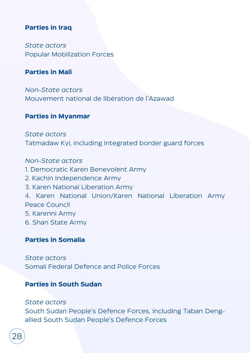### **Parties in Iraq**

*State actors* Popular Mobilization Forces

#### **Parties in Mali**

*Non-State actors* Mouvement national de libération de l'Azawad

#### **Parties in Myanmar**

*State actors* Tatmadaw Kyi, including integrated border guard forces

*Non-State actors* 1. Democratic Karen Benevolent Army 2. Kachin Independence Army 3. Karen National Liberation Army 4. Karen National Union/Karen National Liberation Army Peace Council 5. Karenni Army 6. Shan State Army

#### **Parties in Somalia**

*State actors* Somali Federal Defence and Police Forces

#### **Parties in South Sudan**

*State actors*

28

South Sudan People's Defence Forces, including Taban Dengallied South Sudan People's Defence Forces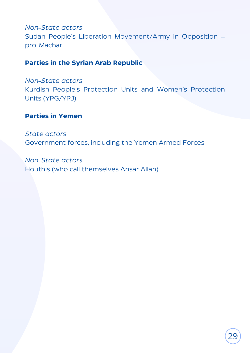*Non-State actors* Sudan People's Liberation Movement/Army in Opposition – pro-Machar

#### **Parties in the Syrian Arab Republic**

*Non-State actors* Kurdish People's Protection Units and Women's Protection Units (YPG/YPJ)

#### **Parties in Yemen**

*State actors* Government forces, including the Yemen Armed Forces

*Non-State actors* Houthis (who call themselves Ansar Allah)

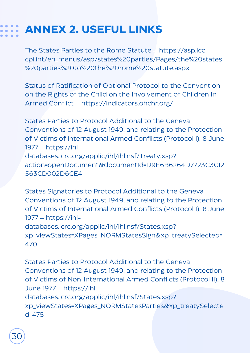# **ANNEX 2. USEFUL LINKS**

The States Parties to the Rome Statute – https://asp.icccpi.int/en\_menus/asp/states%20parties/Pages/the%20states %20parties%20to%20the%20rome%20statute.aspx

Status of Ratification of Optional Protocol to the Convention on the Rights of the Child on the Involvement of Children In Armed Conflict – https://indicators.ohchr.org/

States Parties to Protocol Additional to the Geneva Conventions of 12 August 1949, and relating to the Protection of Victims of International Armed Conflicts (Protocol I), 8 June 1977 – https://ihldatabases.icrc.org/applic/ihl/ihl.nsf/Treaty.xsp? action=openDocument&documentId=D9E6B6264D7723C3C12 563CD002D6CE4

States Signatories to Protocol Additional to the Geneva Conventions of 12 August 1949, and relating to the Protection of Victims of International Armed Conflicts (Protocol I), 8 June 1977 – https://ihl-

databases.icrc.org/applic/ihl/ihl.nsf/States.xsp? xp\_viewStates=XPages\_NORMStatesSign&xp\_treatySelected= 470

States Parties to Protocol Additional to the Geneva Conventions of 12 August 1949, and relating to the Protection of Victims of Non-International Armed Conflicts (Protocol II), 8 June 1977 – https://ihl-

databases.icrc.org/applic/ihl/ihl.nsf/States.xsp? xp\_viewStates=XPages\_NORMStatesParties&xp\_treatySelecte d=475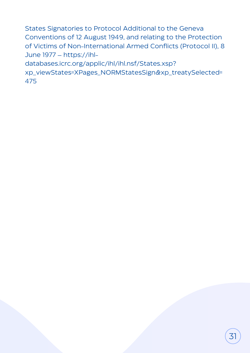States Signatories to Protocol Additional to the Geneva Conventions of 12 August 1949, and relating to the Protection of Victims of Non-International Armed Conflicts (Protocol II), 8 June 1977 – https://ihl-

databases.icrc.org/applic/ihl/ihl.nsf/States.xsp? xp\_viewStates=XPages\_NORMStatesSign&xp\_treatySelected= 475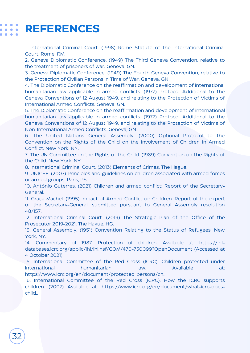# **REFERENCES**

1. International Criminal Court. (1998) Rome Statute of the International Criminal Court. Rome, RM.

2. Geneva Diplomatic Conference. (1949) The Third Geneva Convention, relative to the treatment of prisoners of war. Geneva, GN.

3. Geneva Diplomatic Conference. (1949) The Fourth Geneva Convention, relative to the Protection of Civilian Persons in Time of War. Geneva, GN.

4. The Diplomatic Conference on the reaffirmation and development of international humanitarian law applicable in armed conflicts. (1977) Protocol Additional to the Geneva Conventions of 12 August 1949, and relating to the Protection of Victims of International Armed Conflicts. Geneva, GN.

5. The Diplomatic Conference on the reaffirmation and development of international humanitarian law applicable in armed conflicts. (1977) Protocol Additional to the Geneva Conventions of 12 August 1949, and relating to the Protection of Victims of Non-International Armed Conflicts. Geneva, GN.

6. The United Nations General Assembly. (2000) Optional Protocol to the Convention on the Rights of the Child on the Involvement of Children In Armed Conflict. New York, NY.

7. The UN Committee on the Rights of the Child. (1989) Convention on the Rights of the Child. New York, NY.

8. International Criminal Court. (2013) Elements of Crimes. The Hague.

9. UNICEF. (2007) Principles and guidelines on children associated with armed forces or armed groups. Paris, PS.

10. António Guterres. (2021) Children and armed conflict: Report of the Secretary-General.

11. Graça Machel. (1995) Impact of Armed Conflict on Children: Report of the expert of the Secretary-General, submitted pursuant to General Assembly resolution 48/157.

12. International Criminal Court. (2019) The Strategic Plan of the Office of the Prosecutor 2019-2021. The Hague. HG.

13. General Assembly. (1951) Convention Relating to the Status of Refugees. New York, NY.

14. Commentary of 1987. Protection of children. Available at: https://ihldatabases.icrc.org/applic/ihl/ihl.nsf/COM/470-750099?OpenDocument (Accessed at 4 October 2021)

15. International Committee of the Red Cross (ICRC). Children protected under international humanitarian law. Available at: https://www.icrc.org/en/document/protected-persons/ch..

16. International Committee of the Red Cross (ICRC). How the ICRC supports children. (2007) Available at: https://www.icrc.org/en/document/what-icrc-doeschild..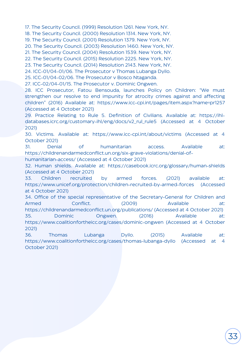17. The Security Council. (1999) Resolution 1261. New York, NY.

18. The Security Council. (2000) Resolution 1314. New York, NY.

19. The Security Council. (2001) Resolution 1379. New York, NY.

20. The Security Council. (2003) Resolution 1460. New York, NY.

21. The Security Council. (2004) Resolution 1539. New York, NY.

22. The Security Council. (2015) Resolution 2225. New York, NY.

23. The Security Council. (2014) Resolution 2143. New York, NY.

24. ICC-01/04-01/06. The Prosecutor v Thomas Lubanga Dyilo.

25. ICC-01/04-02/06. The Prosecutor v Bosco Ntaganda.

27. ICC-02/04-01/15. The Prosecutor v. Dominic Ongwen.

28. ICC Prosecutor, Fatou Bensouda, launches Policy on Children: "We must strengthen our resolve to end impunity for atrocity crimes against and affecting children" (2016) Available at: https://www.icc-cpi.int/pages/item.aspx?name=pr1257 (Accessed at 4 October 2021)

29. Practice Relating to Rule 5. Definition of Civilians. Available at: https://ihldatabases.icrc.org/customary-ihl/eng/docs/v2\_rul\_rule5 (Accessed at 4 October 2021)

30. Victims. Available at: https://www.icc-cpi.int/about/victims (Accessed at 4 October 2021)

31. Denial of humanitarian access. Available at: https://childrenandarmedconflict.un.org/six-grave-violations/denial-of-

humanitarian-access/ (Accessed at 4 October 2021)

32. Human shields. Available at: https://casebook.icrc.org/glossary/human-shields (Accessed at 4 October 2021)

33. Children recruited by armed forces. (2021) available at: https://www.unicef.org/protection/children-recruited-by-armed-forces (Accessed at 4 October 2021)

34. Office of the special representative of the Secretary-General for Children and Armed Conflict. (2009) Available at: https://childrenandarmedconflict.un.org/publications/ (Accessed at 4 October 2021) 35. Dominic Ongwen. (2016) Available at: https://www.coalitionfortheicc.org/cases/dominic-ongwen (Accessed at 4 October 2021)

36. Thomas Lubanga Dyilo. (2015) Available at: https://www.coalitionfortheicc.org/cases/thomas-lubanga-dyilo (Accessed at 4 October 2021)